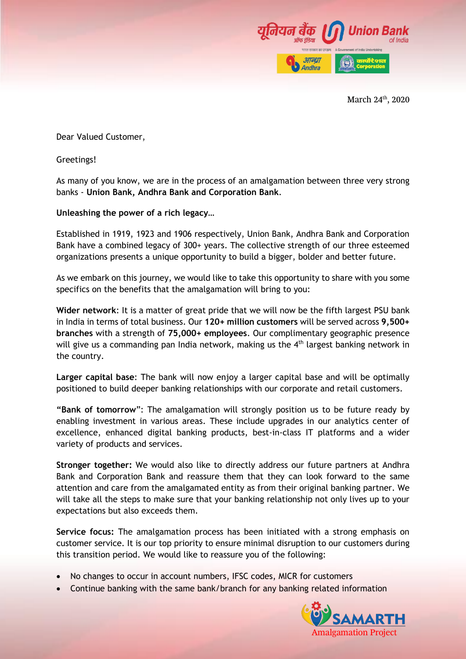

March 24<sup>th</sup>, 2020

Dear Valued Customer,

Greetings!

As many of you know, we are in the process of an amalgamation between three very strong banks - **Union Bank, Andhra Bank and Corporation Bank**.

## **Unleashing the power of a rich legacy…**

Established in 1919, 1923 and 1906 respectively, Union Bank, Andhra Bank and Corporation Bank have a combined legacy of 300+ years. The collective strength of our three esteemed organizations presents a unique opportunity to build a bigger, bolder and better future.

As we embark on this journey, we would like to take this opportunity to share with you some specifics on the benefits that the amalgamation will bring to you:

**Wider network**: It is a matter of great pride that we will now be the fifth largest PSU bank in India in terms of total business. Our **120+ million customers** will be served across **9,500+ branches** with a strength of **75,000+ employees**. Our complimentary geographic presence will give us a commanding pan India network, making us the 4<sup>th</sup> largest banking network in the country.

**Larger capital base**: The bank will now enjoy a larger capital base and will be optimally positioned to build deeper banking relationships with our corporate and retail customers.

**"Bank of tomorrow**": The amalgamation will strongly position us to be future ready by enabling investment in various areas. These include upgrades in our analytics center of excellence, enhanced digital banking products, best-in-class IT platforms and a wider variety of products and services.

**Stronger together:** We would also like to directly address our future partners at Andhra Bank and Corporation Bank and reassure them that they can look forward to the same attention and care from the amalgamated entity as from their original banking partner. We will take all the steps to make sure that your banking relationship not only lives up to your expectations but also exceeds them.

**Service focus:** The amalgamation process has been initiated with a strong emphasis on customer service. It is our top priority to ensure minimal disruption to our customers during this transition period. We would like to reassure you of the following:

- No changes to occur in account numbers, IFSC codes, MICR for customers
- Continue banking with the same bank/branch for any banking related information